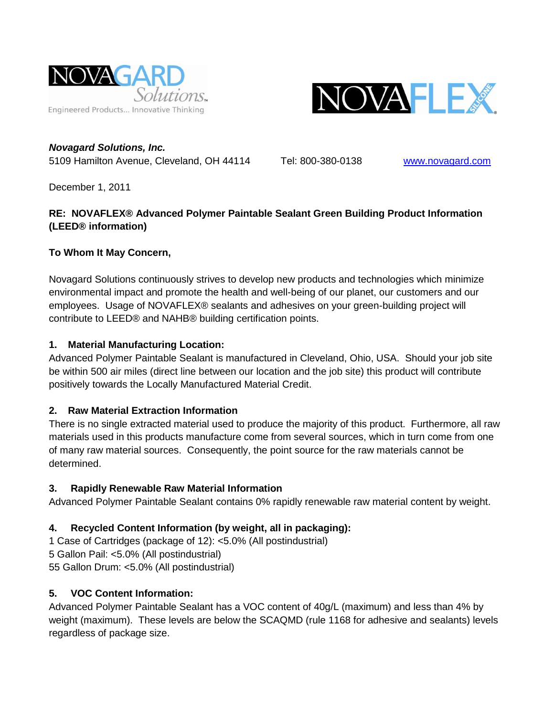



*Novagard Solutions, Inc.* 5109 Hamilton Avenue, Cleveland, OH 44114 Tel: 800-380-0138 [www.novagard.com](http://www.novagard.com/)

December 1, 2011

# **RE: NOVAFLEX® Advanced Polymer Paintable Sealant Green Building Product Information (LEED® information)**

#### **To Whom It May Concern,**

Novagard Solutions continuously strives to develop new products and technologies which minimize environmental impact and promote the health and well-being of our planet, our customers and our employees. Usage of NOVAFLEX® sealants and adhesives on your green-building project will contribute to LEED® and NAHB® building certification points.

#### **1. Material Manufacturing Location:**

Advanced Polymer Paintable Sealant is manufactured in Cleveland, Ohio, USA. Should your job site be within 500 air miles (direct line between our location and the job site) this product will contribute positively towards the Locally Manufactured Material Credit.

# **2. Raw Material Extraction Information**

There is no single extracted material used to produce the majority of this product. Furthermore, all raw materials used in this products manufacture come from several sources, which in turn come from one of many raw material sources. Consequently, the point source for the raw materials cannot be determined.

# **3. Rapidly Renewable Raw Material Information**

Advanced Polymer Paintable Sealant contains 0% rapidly renewable raw material content by weight.

# **4. Recycled Content Information (by weight, all in packaging):**

1 Case of Cartridges (package of 12): <5.0% (All postindustrial) 5 Gallon Pail: <5.0% (All postindustrial) 55 Gallon Drum: <5.0% (All postindustrial)

# **5. VOC Content Information:**

Advanced Polymer Paintable Sealant has a VOC content of 40g/L (maximum) and less than 4% by weight (maximum). These levels are below the SCAQMD (rule 1168 for adhesive and sealants) levels regardless of package size.